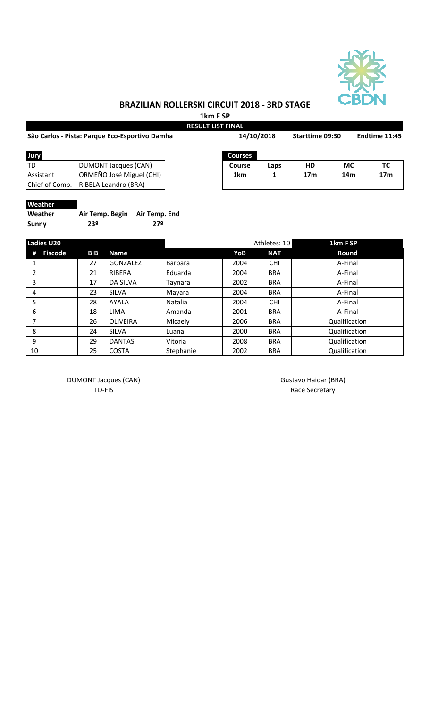

# **BRAZILIAN ROLLERSKI CIRCUIT 2018 - 3RD STAGE**

**1km F SP**

|                |                                                | <b>RESULT LIST FINAL</b> |                 |                 |               |                 |
|----------------|------------------------------------------------|--------------------------|-----------------|-----------------|---------------|-----------------|
|                | São Carlos - Pista: Parque Eco-Esportivo Damha | 14/10/2018               | Starttime 09:30 |                 | Endtime 11:45 |                 |
| Jury           |                                                | <b>Courses</b>           |                 |                 |               |                 |
| ITD            | DUMONT Jacques (CAN)                           | Course                   | Laps            | HD              | <b>MC</b>     | ТC              |
| Assistant      | ORMEÑO José Miguel (CHI)                       | 1km                      |                 | 17 <sub>m</sub> | 14m           | 17 <sub>m</sub> |
| Chief of Comp. | RIBELA Leandro (BRA)                           |                          |                 |                 |               |                 |
|                |                                                |                          |                 |                 |               |                 |

#### **Weather**

| Weather | Air Temp. Begin Air Temp. End |     |
|---------|-------------------------------|-----|
| Sunny   | 23º                           | 27º |

| <b>Ladies U20</b> |         |            | Athletes: 10    |                | 1km F SP |            |               |
|-------------------|---------|------------|-----------------|----------------|----------|------------|---------------|
| Ħ                 | Fiscode | <b>BIB</b> | <b>Name</b>     |                | YoB      | <b>NAT</b> | Round         |
|                   |         | 27         | <b>GONZALEZ</b> | <b>Barbara</b> | 2004     | <b>CHI</b> | A-Final       |
| 2                 |         | 21         | RIBERA          | Eduarda        | 2004     | <b>BRA</b> | A-Final       |
| 3                 |         | 17         | <b>DA SILVA</b> | Tavnara        | 2002     | <b>BRA</b> | A-Final       |
| 4                 |         | 23         | <b>SILVA</b>    | Mayara         | 2004     | <b>BRA</b> | A-Final       |
| 5                 |         | 28         | <b>AYALA</b>    | Natalia        | 2004     | <b>CHI</b> | A-Final       |
| 6                 |         | 18         | LIMA            | Amanda         | 2001     | <b>BRA</b> | A-Final       |
| $\overline{ }$    |         | 26         | <b>OLIVEIRA</b> | Micaely        | 2006     | <b>BRA</b> | Qualification |
| 8                 |         | 24         | <b>SILVA</b>    | Luana          | 2000     | <b>BRA</b> | Qualification |
| 9                 |         | 29         | <b>DANTAS</b>   | Vitoria        | 2008     | <b>BRA</b> | Qualification |
| 10                |         | 25         | <b>COSTA</b>    | Stephanie      | 2002     | <b>BRA</b> | Qualification |

DUMONT Jacques (CAN) and the control of the Gustavo Haidar (BRA) control of the Gustavo Haidar (BRA)

TD-FIS Race Secretary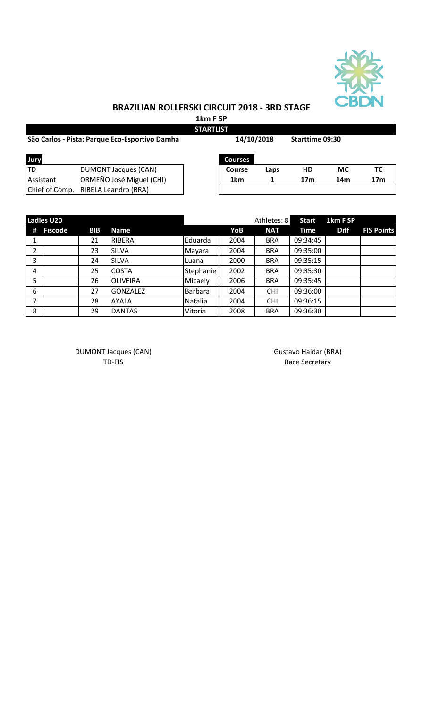

## **BRAZILIAN ROLLERSKI CIRCUIT 2018 - 3RD STAGE**

**1km F SP**

| <b>STARTLIST</b>                               |                             |            |                |                        |                 |     |                 |  |
|------------------------------------------------|-----------------------------|------------|----------------|------------------------|-----------------|-----|-----------------|--|
| São Carlos - Pista: Parque Eco-Esportivo Damha |                             | 14/10/2018 |                | <b>Starttime 09:30</b> |                 |     |                 |  |
| Jury                                           |                             |            | <b>Courses</b> |                        |                 |     |                 |  |
| <b>TD</b>                                      | <b>DUMONT Jacques (CAN)</b> |            | Course         | Laps                   | HD              | МC  | ТC              |  |
| Assistant                                      | ORMEÑO José Miguel (CHI)    |            | 1km            |                        | 17 <sub>m</sub> | 14m | 17 <sub>m</sub> |  |
| Chief of Comp.                                 | RIBELA Leandro (BRA)        |            |                |                        |                 |     |                 |  |

|   | <b>Ladies U20</b> |            |                 |           |      | Athletes: 8 | <b>Start</b> | 1km F SP    |                   |
|---|-------------------|------------|-----------------|-----------|------|-------------|--------------|-------------|-------------------|
| # | <b>Fiscode</b>    | <b>BIB</b> | <b>Name</b>     |           | YoB  | <b>NAT</b>  | <b>Time</b>  | <b>Diff</b> | <b>FIS Points</b> |
|   |                   | 21         | <b>RIBERA</b>   | Eduarda   | 2004 | <b>BRA</b>  | 09:34:45     |             |                   |
| 2 |                   | 23         | <b>SILVA</b>    | Mayara    | 2004 | <b>BRA</b>  | 09:35:00     |             |                   |
| 3 |                   | 24         | <b>SILVA</b>    | Luana     | 2000 | <b>BRA</b>  | 09:35:15     |             |                   |
| 4 |                   | 25         | <b>COSTA</b>    | Stephanie | 2002 | <b>BRA</b>  | 09:35:30     |             |                   |
| 5 |                   | 26         | <b>OLIVEIRA</b> | Micaely   | 2006 | <b>BRA</b>  | 09:35:45     |             |                   |
| 6 |                   | 27         | <b>GONZALEZ</b> | Barbara   | 2004 | <b>CHI</b>  | 09:36:00     |             |                   |
| 7 |                   | 28         | <b>AYALA</b>    | Natalia   | 2004 | <b>CHI</b>  | 09:36:15     |             |                   |
| 8 |                   | 29         | <b>DANTAS</b>   | Vitoria   | 2008 | <b>BRA</b>  | 09:36:30     |             |                   |

DUMONT Jacques (CAN) and the CAN Gustavo Haidar (BRA)

TD-FIS Race Secretary